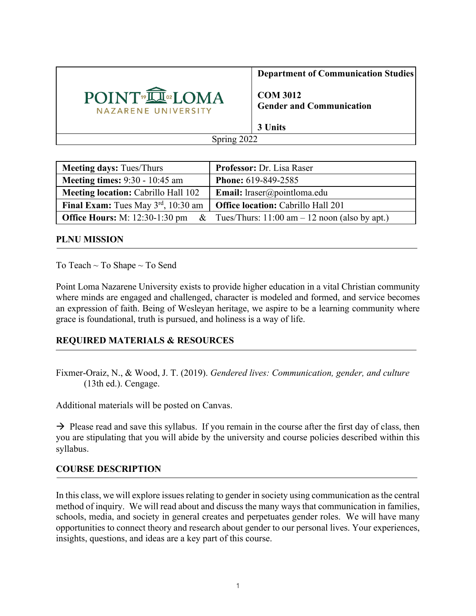

**Department of Communication Studies**

**COM 3012 Gender and Communication**

**3 Units**

Spring 2022

| <b>Meeting days: Tues/Thurs</b>                 | Professor: Dr. Lisa Raser                        |
|-------------------------------------------------|--------------------------------------------------|
| <b>Meeting times: 9:30 - 10:45 am</b>           | <b>Phone: 619-849-2585</b>                       |
| <b>Meeting location: Cabrillo Hall 102</b>      | <b>Email:</b> lraser@pointloma.edu               |
| <b>Final Exam:</b> Tues May $3^{rd}$ , 10:30 am | <b>Office location:</b> Cabrillo Hall 201        |
| <b>Office Hours:</b> M: 12:30-1:30 pm &         | Tues/Thurs: $11:00$ am $-12$ noon (also by apt.) |

#### **PLNU MISSION**

To Teach ~ To Shape ~ To Send

Point Loma Nazarene University exists to provide higher education in a vital Christian community where minds are engaged and challenged, character is modeled and formed, and service becomes an expression of faith. Being of Wesleyan heritage, we aspire to be a learning community where grace is foundational, truth is pursued, and holiness is a way of life.

# **REQUIRED MATERIALS & RESOURCES**

Fixmer-Oraiz, N., & Wood, J. T. (2019). *Gendered lives: Communication, gender, and culture* (13th ed.). Cengage.

Additional materials will be posted on Canvas.

 $\rightarrow$  Please read and save this syllabus. If you remain in the course after the first day of class, then you are stipulating that you will abide by the university and course policies described within this syllabus.

# **COURSE DESCRIPTION**

In this class, we will explore issues relating to gender in society using communication as the central method of inquiry. We will read about and discuss the many ways that communication in families, schools, media, and society in general creates and perpetuates gender roles. We will have many opportunities to connect theory and research about gender to our personal lives. Your experiences, insights, questions, and ideas are a key part of this course.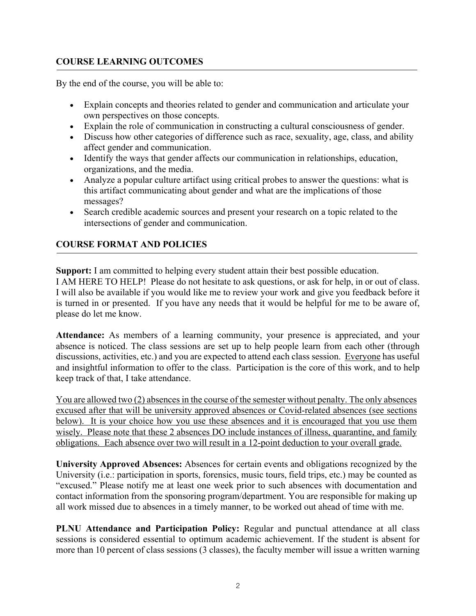# **COURSE LEARNING OUTCOMES**

By the end of the course, you will be able to:

- Explain concepts and theories related to gender and communication and articulate your own perspectives on those concepts.
- Explain the role of communication in constructing a cultural consciousness of gender.
- Discuss how other categories of difference such as race, sexuality, age, class, and ability affect gender and communication.
- Identify the ways that gender affects our communication in relationships, education, organizations, and the media.
- Analyze a popular culture artifact using critical probes to answer the questions: what is this artifact communicating about gender and what are the implications of those messages?
- Search credible academic sources and present your research on a topic related to the intersections of gender and communication.

# **COURSE FORMAT AND POLICIES**

**Support:** I am committed to helping every student attain their best possible education. I AM HERE TO HELP! Please do not hesitate to ask questions, or ask for help, in or out of class. I will also be available if you would like me to review your work and give you feedback before it is turned in or presented. If you have any needs that it would be helpful for me to be aware of,

please do let me know.

**Attendance:** As members of a learning community, your presence is appreciated, and your absence is noticed. The class sessions are set up to help people learn from each other (through discussions, activities, etc.) and you are expected to attend each class session. Everyone has useful and insightful information to offer to the class. Participation is the core of this work, and to help keep track of that, I take attendance.

You are allowed two (2) absences in the course of the semester without penalty. The only absences excused after that will be university approved absences or Covid-related absences (see sections below). It is your choice how you use these absences and it is encouraged that you use them wisely. Please note that these 2 absences DO include instances of illness, quarantine, and family obligations. Each absence over two will result in a 12-point deduction to your overall grade.

**University Approved Absences:** Absences for certain events and obligations recognized by the University (i.e.: participation in sports, forensics, music tours, field trips, etc.) may be counted as "excused." Please notify me at least one week prior to such absences with documentation and contact information from the sponsoring program/department. You are responsible for making up all work missed due to absences in a timely manner, to be worked out ahead of time with me.

**PLNU Attendance and Participation Policy:** Regular and punctual attendance at all class sessions is considered essential to optimum academic achievement. If the student is absent for more than 10 percent of class sessions (3 classes), the faculty member will issue a written warning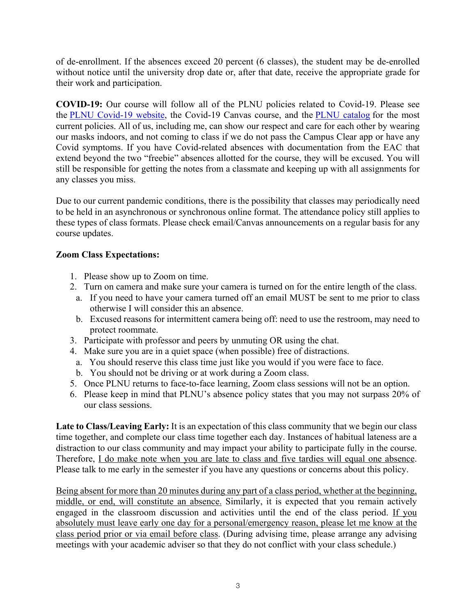of de-enrollment. If the absences exceed 20 percent (6 classes), the student may be de-enrolled without notice until the university drop date or, after that date, receive the appropriate grade for their work and participation.

**COVID-19:** Our course will follow all of the PLNU policies related to Covid-19. Please see the PLNU Covid-19 website, the Covid-19 Canvas course, and the PLNU catalog for the most current policies. All of us, including me, can show our respect and care for each other by wearing our masks indoors, and not coming to class if we do not pass the Campus Clear app or have any Covid symptoms. If you have Covid-related absences with documentation from the EAC that extend beyond the two "freebie" absences allotted for the course, they will be excused. You will still be responsible for getting the notes from a classmate and keeping up with all assignments for any classes you miss.

Due to our current pandemic conditions, there is the possibility that classes may periodically need to be held in an asynchronous or synchronous online format. The attendance policy still applies to these types of class formats. Please check email/Canvas announcements on a regular basis for any course updates.

# **Zoom Class Expectations:**

- 1. Please show up to Zoom on time.
- 2. Turn on camera and make sure your camera is turned on for the entire length of the class.
- a. If you need to have your camera turned off an email MUST be sent to me prior to class otherwise I will consider this an absence.
- b. Excused reasons for intermittent camera being off: need to use the restroom, may need to protect roommate.
- 3. Participate with professor and peers by unmuting OR using the chat.
- 4. Make sure you are in a quiet space (when possible) free of distractions.
	- a. You should reserve this class time just like you would if you were face to face.
- b. You should not be driving or at work during a Zoom class.
- 5. Once PLNU returns to face-to-face learning, Zoom class sessions will not be an option.
- 6. Please keep in mind that PLNU's absence policy states that you may not surpass 20% of our class sessions.

Late to Class/Leaving Early: It is an expectation of this class community that we begin our class time together, and complete our class time together each day. Instances of habitual lateness are a distraction to our class community and may impact your ability to participate fully in the course. Therefore, I do make note when you are late to class and five tardies will equal one absence. Please talk to me early in the semester if you have any questions or concerns about this policy.

Being absent for more than 20 minutes during any part of a class period, whether at the beginning, middle, or end, will constitute an absence. Similarly, it is expected that you remain actively engaged in the classroom discussion and activities until the end of the class period. If you absolutely must leave early one day for a personal/emergency reason, please let me know at the class period prior or via email before class. (During advising time, please arrange any advising meetings with your academic adviser so that they do not conflict with your class schedule.)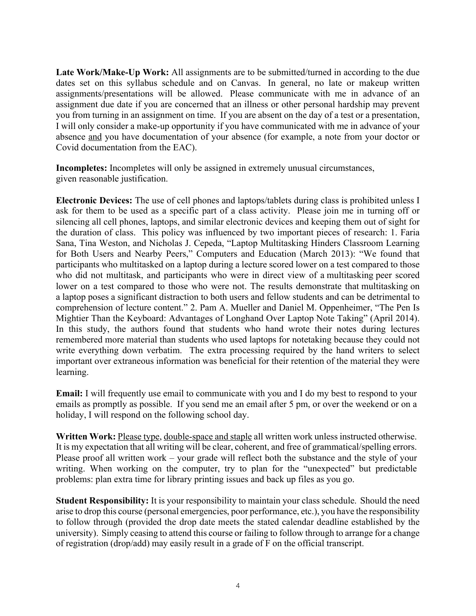Late Work/Make-Up Work: All assignments are to be submitted/turned in according to the due dates set on this syllabus schedule and on Canvas. In general, no late or makeup written assignments/presentations will be allowed. Please communicate with me in advance of an assignment due date if you are concerned that an illness or other personal hardship may prevent you from turning in an assignment on time. If you are absent on the day of a test or a presentation, I will only consider a make-up opportunity if you have communicated with me in advance of your absence and you have documentation of your absence (for example, a note from your doctor or Covid documentation from the EAC).

**Incompletes:** Incompletes will only be assigned in extremely unusual circumstances, given reasonable justification.

**Electronic Devices:** The use of cell phones and laptops/tablets during class is prohibited unless I ask for them to be used as a specific part of a class activity. Please join me in turning off or silencing all cell phones, laptops, and similar electronic devices and keeping them out of sight for the duration of class. This policy was influenced by two important pieces of research: 1. Faria Sana, Tina Weston, and Nicholas J. Cepeda, "Laptop Multitasking Hinders Classroom Learning for Both Users and Nearby Peers," Computers and Education (March 2013): "We found that participants who multitasked on a laptop during a lecture scored lower on a test compared to those who did not multitask, and participants who were in direct view of a multitasking peer scored lower on a test compared to those who were not. The results demonstrate that multitasking on a laptop poses a significant distraction to both users and fellow students and can be detrimental to comprehension of lecture content." 2. Pam A. Mueller and Daniel M. Oppenheimer, "The Pen Is Mightier Than the Keyboard: Advantages of Longhand Over Laptop Note Taking" (April 2014). In this study, the authors found that students who hand wrote their notes during lectures remembered more material than students who used laptops for notetaking because they could not write everything down verbatim. The extra processing required by the hand writers to select important over extraneous information was beneficial for their retention of the material they were learning.

**Email:** I will frequently use email to communicate with you and I do my best to respond to your emails as promptly as possible. If you send me an email after 5 pm, or over the weekend or on a holiday, I will respond on the following school day.

**Written Work:** Please type, double-space and staple all written work unless instructed otherwise. It is my expectation that all writing will be clear, coherent, and free of grammatical/spelling errors. Please proof all written work – your grade will reflect both the substance and the style of your writing. When working on the computer, try to plan for the "unexpected" but predictable problems: plan extra time for library printing issues and back up files as you go.

**Student Responsibility:** It is your responsibility to maintain your class schedule. Should the need arise to drop this course (personal emergencies, poor performance, etc.), you have the responsibility to follow through (provided the drop date meets the stated calendar deadline established by the university). Simply ceasing to attend this course or failing to follow through to arrange for a change of registration (drop/add) may easily result in a grade of F on the official transcript.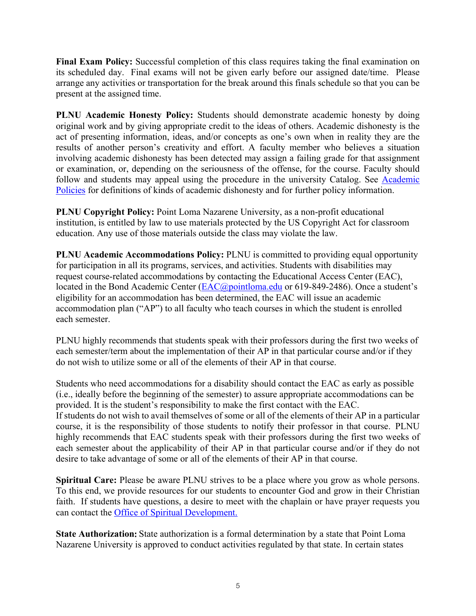**Final Exam Policy:** Successful completion of this class requires taking the final examination on its scheduled day. Final exams will not be given early before our assigned date/time. Please arrange any activities or transportation for the break around this finals schedule so that you can be present at the assigned time.

**PLNU Academic Honesty Policy:** Students should demonstrate academic honesty by doing original work and by giving appropriate credit to the ideas of others. Academic dishonesty is the act of presenting information, ideas, and/or concepts as one's own when in reality they are the results of another person's creativity and effort. A faculty member who believes a situation involving academic dishonesty has been detected may assign a failing grade for that assignment or examination, or, depending on the seriousness of the offense, for the course. Faculty should follow and students may appeal using the procedure in the university Catalog. See Academic Policies for definitions of kinds of academic dishonesty and for further policy information.

**PLNU Copyright Policy:** Point Loma Nazarene University, as a non-profit educational institution, is entitled by law to use materials protected by the US Copyright Act for classroom education. Any use of those materials outside the class may violate the law.

**PLNU Academic Accommodations Policy:** PLNU is committed to providing equal opportunity for participation in all its programs, services, and activities. Students with disabilities may request course-related accommodations by contacting the Educational Access Center (EAC), located in the Bond Academic Center (EAC@pointloma.edu or 619-849-2486). Once a student's eligibility for an accommodation has been determined, the EAC will issue an academic accommodation plan ("AP") to all faculty who teach courses in which the student is enrolled each semester.

PLNU highly recommends that students speak with their professors during the first two weeks of each semester/term about the implementation of their AP in that particular course and/or if they do not wish to utilize some or all of the elements of their AP in that course.

Students who need accommodations for a disability should contact the EAC as early as possible (i.e., ideally before the beginning of the semester) to assure appropriate accommodations can be provided. It is the student's responsibility to make the first contact with the EAC.

If students do not wish to avail themselves of some or all of the elements of their AP in a particular course, it is the responsibility of those students to notify their professor in that course. PLNU highly recommends that EAC students speak with their professors during the first two weeks of each semester about the applicability of their AP in that particular course and/or if they do not desire to take advantage of some or all of the elements of their AP in that course.

**Spiritual Care:** Please be aware PLNU strives to be a place where you grow as whole persons. To this end, we provide resources for our students to encounter God and grow in their Christian faith. If students have questions, a desire to meet with the chaplain or have prayer requests you can contact the Office of Spiritual Development.

**State Authorization:** State authorization is a formal determination by a state that Point Loma Nazarene University is approved to conduct activities regulated by that state. In certain states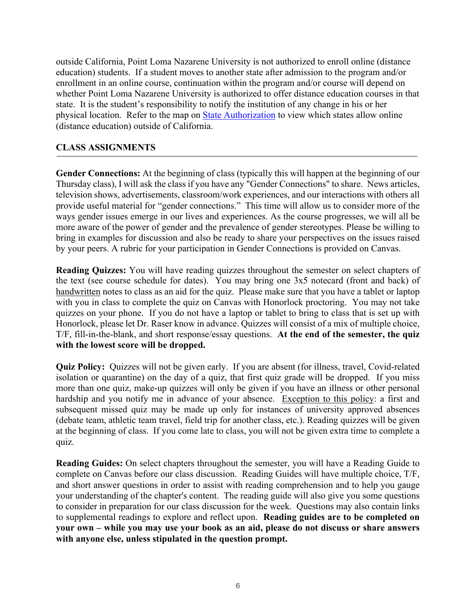outside California, Point Loma Nazarene University is not authorized to enroll online (distance education) students. If a student moves to another state after admission to the program and/or enrollment in an online course, continuation within the program and/or course will depend on whether Point Loma Nazarene University is authorized to offer distance education courses in that state. It is the student's responsibility to notify the institution of any change in his or her physical location. Refer to the map on **State Authorization** to view which states allow online (distance education) outside of California.

#### **CLASS ASSIGNMENTS**

**Gender Connections:** At the beginning of class (typically this will happen at the beginning of our Thursday class), I will ask the class if you have any "Gender Connections" to share. News articles, television shows, advertisements, classroom/work experiences, and our interactions with others all provide useful material for "gender connections." This time will allow us to consider more of the ways gender issues emerge in our lives and experiences. As the course progresses, we will all be more aware of the power of gender and the prevalence of gender stereotypes. Please be willing to bring in examples for discussion and also be ready to share your perspectives on the issues raised by your peers. A rubric for your participation in Gender Connections is provided on Canvas.

**Reading Quizzes:** You will have reading quizzes throughout the semester on select chapters of the text (see course schedule for dates). You may bring one 3x5 notecard (front and back) of handwritten notes to class as an aid for the quiz. Please make sure that you have a tablet or laptop with you in class to complete the quiz on Canvas with Honorlock proctoring. You may not take quizzes on your phone. If you do not have a laptop or tablet to bring to class that is set up with Honorlock, please let Dr. Raser know in advance. Quizzes will consist of a mix of multiple choice, T/F, fill-in-the-blank, and short response/essay questions. **At the end of the semester, the quiz with the lowest score will be dropped.**

**Quiz Policy:** Quizzes will not be given early. If you are absent (for illness, travel, Covid-related isolation or quarantine) on the day of a quiz, that first quiz grade will be dropped. If you miss more than one quiz, make-up quizzes will only be given if you have an illness or other personal hardship and you notify me in advance of your absence. Exception to this policy: a first and subsequent missed quiz may be made up only for instances of university approved absences (debate team, athletic team travel, field trip for another class, etc.). Reading quizzes will be given at the beginning of class. If you come late to class, you will not be given extra time to complete a quiz.

**Reading Guides:** On select chapters throughout the semester, you will have a Reading Guide to complete on Canvas before our class discussion. Reading Guides will have multiple choice, T/F, and short answer questions in order to assist with reading comprehension and to help you gauge your understanding of the chapter's content. The reading guide will also give you some questions to consider in preparation for our class discussion for the week. Questions may also contain links to supplemental readings to explore and reflect upon. **Reading guides are to be completed on your own – while you may use your book as an aid, please do not discuss or share answers with anyone else, unless stipulated in the question prompt.**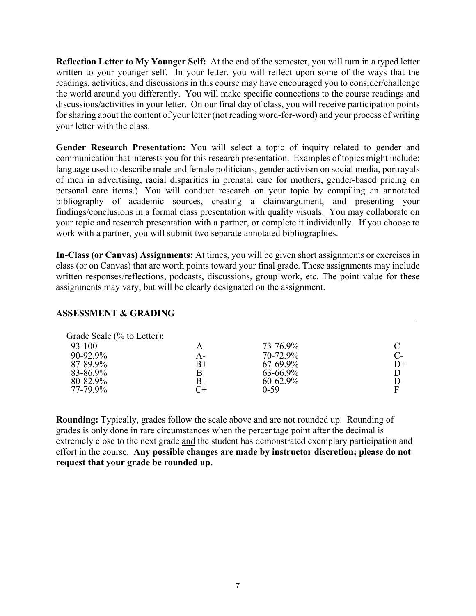**Reflection Letter to My Younger Self:** At the end of the semester, you will turn in a typed letter written to your younger self. In your letter, you will reflect upon some of the ways that the readings, activities, and discussions in this course may have encouraged you to consider/challenge the world around you differently. You will make specific connections to the course readings and discussions/activities in your letter. On our final day of class, you will receive participation points for sharing about the content of your letter (not reading word-for-word) and your process of writing your letter with the class.

**Gender Research Presentation:** You will select a topic of inquiry related to gender and communication that interests you for this research presentation. Examples of topics might include: language used to describe male and female politicians, gender activism on social media, portrayals of men in advertising, racial disparities in prenatal care for mothers, gender-based pricing on personal care items.) You will conduct research on your topic by compiling an annotated bibliography of academic sources, creating a claim/argument, and presenting your findings/conclusions in a formal class presentation with quality visuals. You may collaborate on your topic and research presentation with a partner, or complete it individually. If you choose to work with a partner, you will submit two separate annotated bibliographies.

**In-Class (or Canvas) Assignments:** At times, you will be given short assignments or exercises in class (or on Canvas) that are worth points toward your final grade. These assignments may include written responses/reflections, podcasts, discussions, group work, etc. The point value for these assignments may vary, but will be clearly designated on the assignment.

#### **ASSESSMENT & GRADING**

| Grade Scale (% to Letter):<br>$93 - 100$<br>$90 - 92.9\%$<br>87-89.9%<br>83-86.9%<br>80-82.9% | А-<br>$_{\rm B+}$<br>B- | 73-76.9%<br>70-72.9%<br>$67-69.9\%$<br>$63 - 66.9\%$<br>$60 - 62.9\%$ | $C$ -<br>$D+$<br>D<br>D- |
|-----------------------------------------------------------------------------------------------|-------------------------|-----------------------------------------------------------------------|--------------------------|
| 77-79.9%                                                                                      |                         | $0 - 59$                                                              | F                        |

**Rounding:** Typically, grades follow the scale above and are not rounded up. Rounding of grades is only done in rare circumstances when the percentage point after the decimal is extremely close to the next grade and the student has demonstrated exemplary participation and effort in the course. **Any possible changes are made by instructor discretion; please do not request that your grade be rounded up.**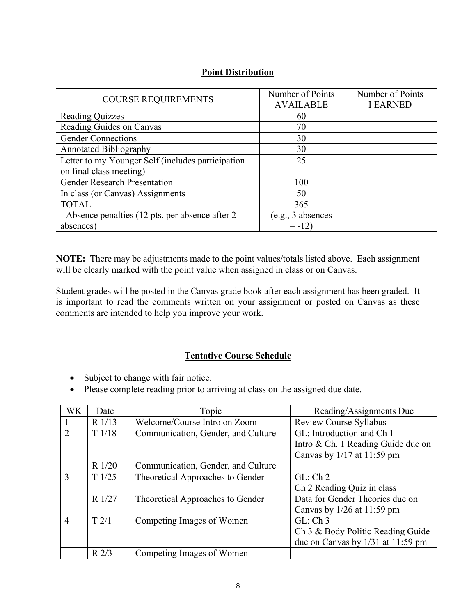| <b>COURSE REQUIREMENTS</b>                        | Number of Points    | Number of Points |
|---------------------------------------------------|---------------------|------------------|
|                                                   | <b>AVAILABLE</b>    | <b>I EARNED</b>  |
| <b>Reading Quizzes</b>                            | 60                  |                  |
| Reading Guides on Canvas                          | 70                  |                  |
| <b>Gender Connections</b>                         | 30                  |                  |
| <b>Annotated Bibliography</b>                     | 30                  |                  |
| Letter to my Younger Self (includes participation | 25                  |                  |
| on final class meeting)                           |                     |                  |
| <b>Gender Research Presentation</b>               | 100                 |                  |
| In class (or Canvas) Assignments                  | 50                  |                  |
| <b>TOTAL</b>                                      | 365                 |                  |
| - Absence penalties (12 pts. per absence after 2) | $(e.g., 3$ absences |                  |
| absences)                                         | $= -12$             |                  |

#### **Point Distribution**

**NOTE:** There may be adjustments made to the point values/totals listed above. Each assignment will be clearly marked with the point value when assigned in class or on Canvas.

Student grades will be posted in the Canvas grade book after each assignment has been graded. It is important to read the comments written on your assignment or posted on Canvas as these comments are intended to help you improve your work.

# **Tentative Course Schedule**

- Subject to change with fair notice.
- Please complete reading prior to arriving at class on the assigned due date.

| WK             | Date             | Topic                              | Reading/Assignments Due               |
|----------------|------------------|------------------------------------|---------------------------------------|
|                | $R$ 1/13         | Welcome/Course Intro on Zoom       | Review Course Syllabus                |
| $\overline{2}$ | T1/18            | Communication, Gender, and Culture | GL: Introduction and Ch 1             |
|                |                  |                                    | Intro & Ch. 1 Reading Guide due on    |
|                |                  |                                    | Canvas by $1/17$ at $11:59$ pm        |
|                | $R$ 1/20         | Communication, Gender, and Culture |                                       |
| 3              | T1/25            | Theoretical Approaches to Gender   | GL:Ch2                                |
|                |                  |                                    | Ch 2 Reading Quiz in class            |
|                | R 1/27           | Theoretical Approaches to Gender   | Data for Gender Theories due on       |
|                |                  |                                    | Canvas by $1/26$ at $11:59$ pm        |
| $\overline{4}$ | T2/1             | Competing Images of Women          | $GL: Ch$ 3                            |
|                |                  |                                    | Ch 3 & Body Politic Reading Guide     |
|                |                  |                                    | due on Canvas by $1/31$ at $11:59$ pm |
|                | R <sub>2/3</sub> | Competing Images of Women          |                                       |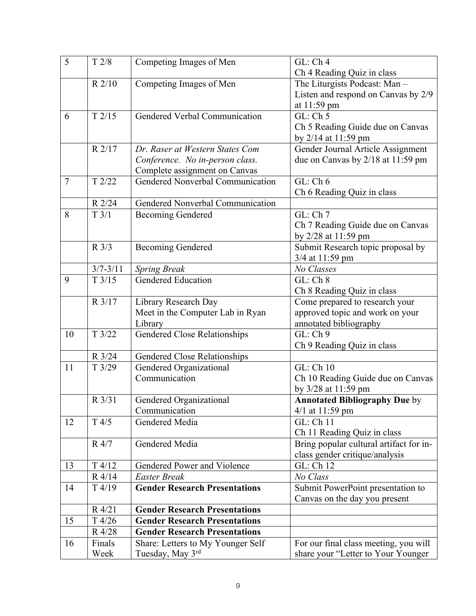| 5              | T2/8            | Competing Images of Men                 | GL:Ch4                                  |
|----------------|-----------------|-----------------------------------------|-----------------------------------------|
|                |                 |                                         | Ch 4 Reading Quiz in class              |
|                | R 2/10          | Competing Images of Men                 | The Liturgists Podcast: Man-            |
|                |                 |                                         | Listen and respond on Canvas by 2/9     |
|                |                 |                                         | at 11:59 pm                             |
| 6              | T2/15           | Gendered Verbal Communication           | $\overline{GL}$ : Ch 5                  |
|                |                 |                                         | Ch 5 Reading Guide due on Canvas        |
|                |                 |                                         | by 2/14 at 11:59 pm                     |
|                | R 2/17          | Dr. Raser at Western States Com         | Gender Journal Article Assignment       |
|                |                 | Conference. No in-person class.         | due on Canvas by 2/18 at 11:59 pm       |
|                |                 | Complete assignment on Canvas           |                                         |
| $\overline{7}$ | T2/22           | Gendered Nonverbal Communication        | GL:Ch 6                                 |
|                |                 |                                         | Ch 6 Reading Quiz in class              |
|                | R 2/24          | <b>Gendered Nonverbal Communication</b> |                                         |
| 8              | T3/1            | <b>Becoming Gendered</b>                | GL:Ch 7                                 |
|                |                 |                                         | Ch 7 Reading Guide due on Canvas        |
|                |                 |                                         | by 2/28 at 11:59 pm                     |
|                | $R \frac{3}{3}$ | <b>Becoming Gendered</b>                | Submit Research topic proposal by       |
|                |                 |                                         | 3/4 at 11:59 pm                         |
|                | $3/7 - 3/11$    | <b>Spring Break</b>                     | No Classes                              |
| 9              | T3/15           | Gendered Education                      | GL:Ch 8                                 |
|                |                 |                                         | Ch 8 Reading Quiz in class              |
|                | R 3/17          | Library Research Day                    | Come prepared to research your          |
|                |                 | Meet in the Computer Lab in Ryan        | approved topic and work on your         |
|                |                 | Library                                 | annotated bibliography                  |
| 10             | T3/22           | <b>Gendered Close Relationships</b>     | GL: Ch 9                                |
|                |                 |                                         | Ch 9 Reading Quiz in class              |
|                | R 3/24          | <b>Gendered Close Relationships</b>     |                                         |
| 11             | T3/29           | Gendered Organizational                 | GL: Ch 10                               |
|                |                 | Communication                           | Ch 10 Reading Guide due on Canvas       |
|                |                 |                                         | by 3/28 at 11:59 pm                     |
|                | R 3/31          | Gendered Organizational                 | <b>Annotated Bibliography Due by</b>    |
|                |                 | Communication                           | $4/1$ at 11:59 pm                       |
| 12             | T4/5            | Gendered Media                          | GL: Ch 11                               |
|                |                 |                                         | Ch 11 Reading Quiz in class             |
|                | R 4/7           | Gendered Media                          | Bring popular cultural artifact for in- |
|                |                 |                                         | class gender critique/analysis          |
| 13             | T4/12           | Gendered Power and Violence             | GL: Ch 12                               |
|                | $R$ 4/14        | <b>Easter Break</b>                     | No Class                                |
| 14             | T4/19           | <b>Gender Research Presentations</b>    | Submit PowerPoint presentation to       |
|                |                 |                                         | Canvas on the day you present           |
|                | R 4/21          | <b>Gender Research Presentations</b>    |                                         |
| 15             | T4/26           | <b>Gender Research Presentations</b>    |                                         |
|                | R 4/28          | <b>Gender Research Presentations</b>    |                                         |
| 16             | Finals          | Share: Letters to My Younger Self       | For our final class meeting, you will   |
|                | Week            | Tuesday, May 3rd                        | share your "Letter to Your Younger      |